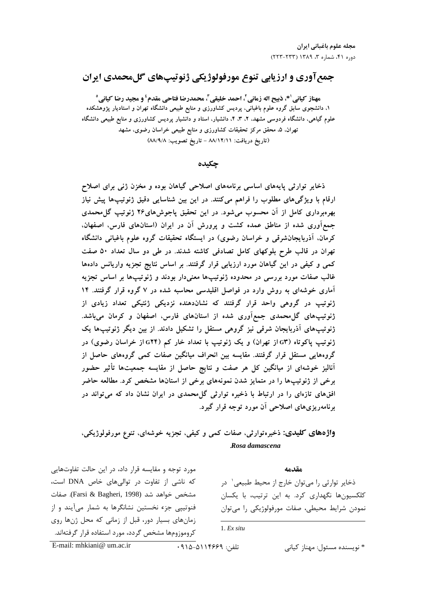# جمع آوري و ارزيابي تنوع مورفولوژيکي ژنوتيپهاي گلمحمدي ايران

مهناز كياني '\*، ذبيح اله زماني <sup>٢</sup>، احمد خليقي r محمدرضا فتاحي مقدم<sup>؛</sup> و مجيد رضا كياني ° ۱. دانشجوی سابق گروه علوم باغبانی، پردیس کشاورزی و منابع طبیعی دانشگاه تهران و استادیار پژوهشکده علوم گیاهی، دانشگاه فردوسی مشهد، ۲، ۳، ۴، دانشیار، استاد و دانشیار پردیس کشاورزی و منابع طبیعی دانشگاه تهران. ۵. محقق مرکز تحقیقات کشاورزی و منابع طبیعی خراسان رضوی، مشهد (تاريخ دريافت: ٨٨/١٢/١١ - تاريخ تصويب: ٨٨/٩/٨)

### چکىدە

ذخایر توارثی پایههای اساسی برنامههای اصلاحی گیاهان بوده و مخزن ژنی برای اصلاح ارقام با ویژگیهای مطلوب را فراهم میکنند. در این بین شناسایی دقیق ژنوتیپها پیش نیاز بهرهبرداری کامل از آن محسوب میشود. در این تحقیق پاجوشهای۲۶ ژنوتیپ گل¤حمدی جمع آوری شده از مناطق عمده کشت و پرورش آن در ایران (استانهای فارس، اصفهان، کرمان، آذربایجانشرقی و خراسان رضوی) در ایستگاه تحقیقات گروه علوم باغبانی دانشگاه تهران در قالب طرح بلوكهاى كامل تصادفى كاشته شدند. در طى دو سال تعداد ۵۰ صفت کمی و کیفی در این گیاهان مورد ارزیابی قرار گرفتند. بر اساس نتایج تجزیه واریانس دادهها غالب صفات مورد بررسی در محدوده ژنوتیپها معنیدار بودند و ژنوتیپها بر اساس تجزیه آماری خوشهای به روش وارد در فواصل اقلیدسی محاسبه شده در ۷ گروه قرار گرفتند. ۱۴ ژنوتیپ در گروهی واحد قرار گرفتند که نشاندهنده نزدیکی ژنتیکی تعداد زیادی از ژنوتیپهای گل¤حمدی جمع|َوری شده از استانهای فارس، اصفهان و کرمان میباشد. ژنوتیپهای آذربایجان شرقی نیز گروهی مستقل را تشکیل دادند. از بین دیگر ژنوتیپها یک ژنوتیپ پاکوتاه (G۳ از تهران) و یک ژنوتیپ با تعداد خار کم (G۲۴ از خراسان رضوی) در گروههایی مستقل قرار گرفتند. مقایسه بین انحراف میانگین صفات کمی گروههای حاصل از آنالیز خوشهای از میانگین کل هر صفت و نتایج حاصل از مقایسه جمعیتها تأثیر حضور برخی از ژنوتیپها را در متمایز شدن نمونههای برخی از استانها مشخص کرد. مطالعه حاضر افقهای تازهای را در ارتباط با ذخیره توارثی گل محمدی در ایران نشان داد که می تواند در برنامهریزی های اصلاحی آن مورد توجه قرار گیرد.

# واژههای کلیدی: ذخیرهتوارثی، صفات کمی و کیفی، تجزیه خوشهای، تنوع مورفولوژیکی، Rosa damascena

مورد توجه و مقایسه قرار داد، در این حالت تفاوتهایی که ناشی از تفاوت در توالی های خاص DNA است، مشخص خواهد شد (Farsi & Bagheri, 1998). صفات فنوتییی جزء نخستین نشانگرها به شمار میآیند و از زمان های بسیار دور، قبل از زمانی که محل ژنها روی کروموزومها مشخص گردد، مورد استفاده قرار گرفتهاند.

مقدمه

ذخاير توارثي را مي توان خارج از محيط طبيعي` در کلکسیونها نگهداری کرد. به این ترتیب، با یکسان نمودن شرایط محیطی، صفات مورفولوژیکی را می توان

```
1. Ex situ
```
E-mail: mhkiani@ um.ac.ir

تلفن: ١٤۶۶٩١١٩٥-١١٥-٢٩١

\* نويسنده مسئول: مهناز كياني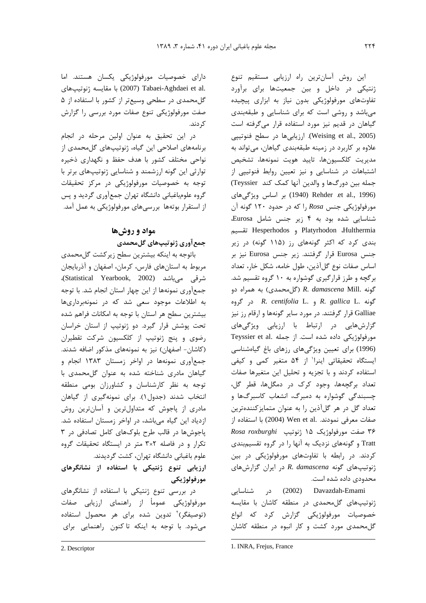دارای خصوصیات مورفولوژیکی یکسان هستند. اما .2007) Tabaei-Aghdaei et al (2007) با مقايسه ژنوتيپهاى گل محمدی در سطحی وسیعتر از کشور با استفاده از ۵ صفت مورفولوژیکی تنوع صفات مورد بررسی را گزارش کړ دند.

در این تحقیق به عنوان اولین مرحله در انجام برنامههای اصلاحی این گیاه، ژنوتیپهای گلمحمدی از نواحی مختلف کشور با هدف حفظ و نگهداری ذخیره توارثی این گونه ارزشمند و شناسایی ژنوتیپهای برتر با توجه به خصوصیات مورفولوژیکی در مرکز تحقیقات گروه علومباغبانی دانشگاه تهران جمعأوری گردید و پس از استقرار بوتهها بررسیهای مورفولوژیکی به عمل آمد.

# مواد و روش ها جمع آوري ژنوتيپھاي گلمحمدي

باتوجه به اینکه بیشترین سطح زیر کشت گل محمدی مربوط به استان های فارس، کرمان، اصفهان و آذربایجان شرقی میباشد (Statistical Yearbook, 2002)، جمعآوري نمونهها از اين چهار استان انجام شد. با توجه به اطلاعات موجود سعی شد که در نمونهبرداریها بیشترین سطح هر استان با توجه به امکانات فراهم شده تحت پوشش قرار گیرد. دو ژنوتیپ از استان خراسان رضوی و پنج ژنوتیپ از کلکسیون شرکت تقطیران (کاشان- اصفهان) نیز به نمونههای مذکور اضافه شدند. جمع آوری نمونهها در اواخر زمستان ۱۳۸۳ انجام و گیاهان مادری شناخته شده به عنوان گل محمدی با توجه به نظر کارشناسان و کشاورزان بومی منطقه انتخاب شدند (جدول ١). براي نمونه گيري از گياهان مادری از پاجوش که متداولترین و آسانترین روش ازدیاد این گیاه میباشد، در اواخر زمستان استفاده شد. پاجوشها در قالب طرح بلوکهای کامل تصادفی در ۳ تکرار و در فاصله ۳×۳ متر در ایستگاه تحقیقات گروه علوم باغبانی دانشگاه تهران، کشت گردیدند.

ارزیابی تنوع ژنتیکی با استفاده از نشانگرهای مورفولوژيک*ي* 

در بررسی تنوع ژنتیکی با استفاده از نشانگرهای مورفولوژیکی عموماْ از راهنمای ارزیابی صفات (توصیفگر)<sup>۲</sup> تدوین شده برای هر محصول استفاده می شود. با توجه به اینکه تا کنون راهنمایی برای

این روش آسانترین راه ارزیابی مستقیم تنوع ژنتیکی در داخل و بین جمعیتها برای برآورد تفاوتهای مورفولوژیکی بدون نیاز به ابزاری پیچیده میباشد و روشی است که برای شناسایی و طبقهبندی گیاهان در قدیم نیز مورد استفاده قرار میگرفته است (Weising et al., 2005). ارزیابیها در سطح فنوتیپی علاوه بر کاربرد در زمینه طبقهبندی گیاهان، می تواند به مديريت كلكسيونها، تاييد هويت نمونهها، تشخيص اشتباهات در شناسایی و نیز تعیین روابط فنوتیپی از جمله بین دورگ@ا و والدین آنها کمک کند Teyssier) (1996) Rehder .et al., 1996) بر اساس ويژگى هاى مورفولوژیکی جنس Rosa را که در حدود ۱۲۰ گونه آن شناسایی شده بود به ۴ زیر جنس شامل Eurosa، Hesperhodos و Hesperhodos تقسيم بندی کرد که اکثر گونههای رز (۱۱۵ گونه) در زیر جنس Eurosa قرار گرفتند. زیر جنس Eurosa نیز بر اساس صفات نوع گلآذین، طول خامه، شکل خار، تعداد بر گچه و طرز قرارگیری گوشواره به ۱۰ گروه تقسیم شد. گونه .R. damascena Mill (گل محمدی) به همراه دو  $R.$  centifolia L. و R. gallica L. در گروه Galliae قرار گرفتند. در مورد سایر گونهها و ارقام رز نیز گزارشهایی در ارتباط با ارزیابی ویژگیهای Teyssier et al. مورفولوژیکی داده شده است. از جمله (1996) برای تعیین ویژگیهای رزهای باغ گیاهشناسی ایستگاه تحقیقاتی اینرا<sup>\</sup> از ۵۴ متغیر کمی و کیفی استفاده کردند و با تجزیه و تحلیل این متغیرها صفات تعداد برگچهها، وجود كرك در دمگلها، قطر گل، چسبندگی گوشواره به دمبرگ، انشعاب کاسبرگها و تعداد گل در هر گلآذین را به عنوان متمایزکنندهترین صفات معرفي نمودند. .Wen et al (2004) با استفاده از ۳۶ صفت مورفولوژیک ۱۵ ژنوتیپ Rosa roxburghi Tratt و گونههای نزدیک به آنها را در گروه تقسیمبندی کردند. در رابطه با تفاوتهای مورفولوژیکی در بین ژنوتیپهای گونه R. damascena در ایران گزارش های محدودی داده شده است.

Davazdah-Emami (2002) در شناسايى ژنوتیپهای گلمحمدی در منطقه کاشان با مقایسه خصوصیات مورفولوژیکی گزارش کرد که انواع گل محمدی مورد کشت و کار انبوه در منطقه کاشان

<sup>1.</sup> INRA, Frejus, France

<sup>2.</sup> Descriptor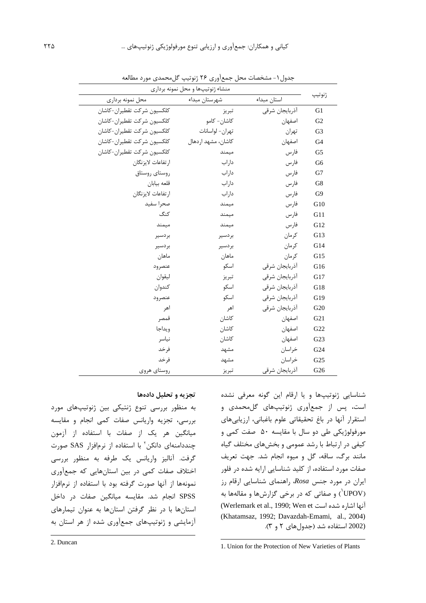| منشاء ژنوتیپها و محل نمونه برداری |                    |                |                 |  |  |  |  |  |
|-----------------------------------|--------------------|----------------|-----------------|--|--|--|--|--|
| محل نمونه برداري                  | شهرستان مبداء      | استان مبداء    | ژنوتيپ          |  |  |  |  |  |
| كلكسيون شركت تقطيران-كاشان        | تبريز              | أذربايجان شرقى | G1              |  |  |  |  |  |
| كلكسيون شركت تقطيران-كاشان        | كاشان- كامو        | اصفهان         | G <sub>2</sub>  |  |  |  |  |  |
| كلكسيون شركت تقطيران-كاشان        | تهران- لواسانات    | تهران          | G <sub>3</sub>  |  |  |  |  |  |
| كلكسيون شركت تقطيران-كاشان        | كاشان، مشهد اردهال | اصفهان         | G <sub>4</sub>  |  |  |  |  |  |
| كلكسيون شركت تقطيران-كاشان        | ميمند              | فارس           | G <sub>5</sub>  |  |  |  |  |  |
| ارتفاعات لايزنگان                 | داراب              | فارس           | G <sub>6</sub>  |  |  |  |  |  |
| روستاى روستاق                     | داراب              | فارس           | G7              |  |  |  |  |  |
| قلعه بيابان                       | داراب              | فارس           | G8              |  |  |  |  |  |
| ارتفاعات لايزنگان                 | داراب              | فارس           | G <sub>9</sub>  |  |  |  |  |  |
| صحرا سفيد                         | ميمند              | فارس           | G10             |  |  |  |  |  |
| كنگ                               | ميمند              | فارس           | G11             |  |  |  |  |  |
| ميمند                             | ميمند              | فارس           | G12             |  |  |  |  |  |
| بردسير                            | بردسير             | كرمان          | G13             |  |  |  |  |  |
| بردسير                            | بردسير             | كرمان          | G14             |  |  |  |  |  |
| ماهان                             | ماهان              | كرمان          | G15             |  |  |  |  |  |
| عنصرود                            | اسكو               | أذربايجان شرقى | G16             |  |  |  |  |  |
| ليقوان                            | تبريز              | أذربايجان شرقى | G17             |  |  |  |  |  |
| كندوان                            | اسكو               | أذربايجان شرقى | G18             |  |  |  |  |  |
| عنصرود                            | اسكو               | أذربايجان شرقى | G19             |  |  |  |  |  |
| اهر                               | اهر                | أذربايجان شرقى | G <sub>20</sub> |  |  |  |  |  |
| قمصر                              | كاشان              | اصفهان         | G21             |  |  |  |  |  |
| ويداجا                            | كاشان              | اصفهان         | G22             |  |  |  |  |  |
| نياسر                             | كاشان              | اصفهان         | G23             |  |  |  |  |  |
| فرخد                              | مشهد               | خراسان         | G24             |  |  |  |  |  |
| ف, خد                             | مشهد               | خراسان         | G <sub>25</sub> |  |  |  |  |  |
| روستاي هروى                       | تبريز              | أذربايجان شرقى | G <sub>26</sub> |  |  |  |  |  |

جدول ۱- مشخصات محل جمع آوري ۲۶ ژنوتيپ گل محمدي مورد مطالعه

#### تجزیه و تحلیل دادهها

به منظور بررسی تنوع ژنتیکی بین ژنوتیپهای مورد بررسی، تجزیه واریانس صفات کمی انجام و مقایسه میانگین هر یک از صفات با استفاده از آزمون چنددامنهای دانکن<sup>۲</sup> با استفاده از نرمافزار SAS صورت گرفت. آنالیز واریانس یک طرفه به منظور بررسی اختلاف صفات کمی در بین استانهایی که جمعآوری نمونهها از آنها صورت گرفته بود با استفاده از نرمافزار SPSS انجام شد. مقايسه ميانگين صفات در داخل استانها با در نظر گرفتن استانها به عنوان تیمارهای آزمایشی و ژنوتیپهای جمعآوری شده از هر استان به شناسایی ژنوتیپها و یا ارقام این گونه معرفی نشده است، پس از جمعآوری ژنوتیپهای گلمحمدی و استقرار آنها در باغ تحقیقاتی علوم باغبانی، ارزیابی های مورفولوژیکی طی دو سال با مقایسه ۵۰ صفت کمی و کیفی در ارتباط با رشد عمومی و بخشهای مختلف گیاه مانند برگ، ساقه، گل و میوه انجام شد. جهت تعریف صفات مورد استفاده، از کلید شناسایی ارایه شده در فلور ایران در مورد جنس Rosa، راهنمای شناسایی ارقام رز (UPOV) و صفاتی که در برخی گزارشها و مقالهها به (Werlemark et al., 1990; Wen et آنها اشاره شده است (Khatamsaz, 1992; Davazdah-Emami, al., 2004) (2002 استفاده شد (جدولهای ٢ و ٣).

2. Duncan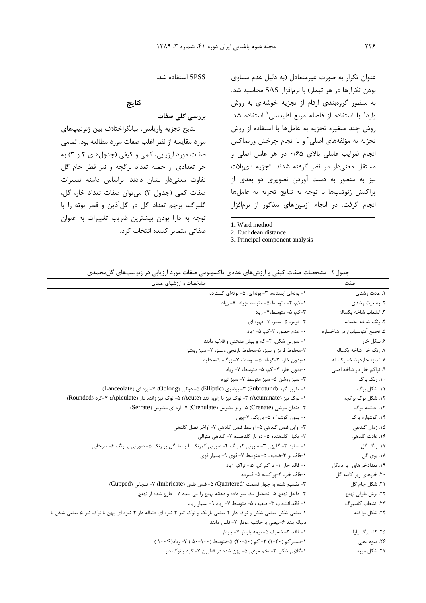SPSS استفاده شد.

## نتايج

بررسی کلی صفات

نتايج تجزيه واريانس، بيانگراختلاف بين ژنوتيپهاي مورد مقايسه از نظر اغلب صفات مورد مطالعه بود. تمامى صفات مورد ارزیابی، کمی و کیفی (جدول های ۲ و ۳) به جز تعدادی از جمله تعداد برگچه و نیز قطر جام گل تفاوت معنى دار نشان دادند. براساس دامنه تغييرات صفات کمی (جدول ٣) می توان صفات تعداد خار، گل، گلبرگ، پرچم تعداد گل در گلآذین و قطر بوته را با توجه به دارا بودن بیشترین ضریب تغییرات به عنوان صفاتی متمایز کننده انتخاب کرد.

عنوان تکرار به صورت غیرمتعادل (به دلیل عدم مساوی بودن تكرارها در هر تيمار) با نرمافزار SAS محاسبه شد. به منظور گروهبندی ارقام از تجزیه خوشهای به روش وارد<sup>\</sup> با استفاده از فاصله مربع اقلیدسی<sup>۲</sup> استفاده شد. روش چند متغیره تجزیه به عاملها با استفاده از روش تجزیه به مؤلفههای اصلی" و با انجام چرخش وریماکس انجام ضرایب عاملی بالای ۰/۶۵ در هر عامل اصلی و مستقل معنىدار در نظر گرفته شدند. تجزيه دىپلات نیز به منظور به دست آوردن تصویری دو بعدی از يراكنش ژنوتيپها با توجه به نتايج تجزيه به عاملها انجام گرفت. در انجام آزمونهای مذکور از نرمافزار

1. Ward method

3. Principal component analysis

جدول۲- مشخصات صفات کیفی و ارزشهای عددی تاکسونومی صفات مورد ارزیابی در ژنوتیپهای گل محمدی

| صفت                           | مشخصات و ارزشهای عددی                                                                                            |
|-------------------------------|------------------------------------------------------------------------------------------------------------------|
| ۱. عادت رشدی                  | ۱- بوتهای ایستاده، ۳- بوتهای، ۵- بوتهای گسترده                                                                   |
| ٢. وضعيت رشدي                 | ١-كم، ٣- متوسط،٥- متوسط-زياد، ٧- زياد                                                                            |
| ٣. انشعاب شاخه يكساله         | ٣-کم، ۵- متوسط،٧- زياد                                                                                           |
| ۴. رنگ شاخه یکساله            | ۳- قرمز، ۵- سبز، ۷- قهوه ای                                                                                      |
| ۵. تجمع آنتوسیانین در شاخساره | ۰- عدم حضور، ۳-کم، ۵- زیاد                                                                                       |
| ۶. شکل خار                    | ١- سوزني شكل، ٢- كم و بيش منحنى و قلاب مانند                                                                     |
| ٧. رنگ خار شاخه يكساله        | ٣-مخلوط قرمز و سبز، ۵-مخلوط نارنجي وسبز، ٧- سبز روشن                                                             |
| ۸. اندازه خاردرشاخه یکساله    | ۰-بدون خار، ۳-کوتاه، ۵-متوسط، ۷-بزرگ، ۹-مخلوط                                                                    |
| ۹. تراکم خار در شاخه اصلی     | ٠-بدون خار، ٣- كم، ۵- متوسط، ٧- زياد                                                                             |
| ۱۰. رنگ برگ                   | ٣- سبز روشن ۵- سبز متوسط ٧- سبز تيره                                                                             |
| ۱۱. شکل برگ                   | ۱- تقریباً گرد (Subrotund) ۳- بیضوی (Elliptic) ۵- دوکی (Oblong) ۷-نیزه ای (Lanceolate)                           |
| ۱۲. شکل نوک بر گچه            | ۱- نوک تیز (Acuminate) ۳- نوک تیز با زاویه تند (Acute) ۵- نوک تیز زائده دار (Apiculate) ۷-گرد (Rounded)          |
| ۱۳. حاشیه برگ                 | ۳- دندان موشی (Crenate) ۵- ریز مضرس (Crenulate) ۷- اره ای مضرس (Serrate)                                         |
| ۱۴. گوشواره برگ               | ۰- بدون گوشواره ۵- باریک، ۷-پهن                                                                                  |
| ۱۵. زمان گلدهی                | ٣- اوايل فصل گلدهي ۵- اواسط فصل گلدهي ٧- اواخر فصل گلدهي                                                         |
| ۱۶. عادت گلدهی                | ۳- یکبار گلدهنده ۵- دو بار گلدهنده ۷- گلدهی متوالی                                                               |
| ۱۷. رنگ گل                    | ۱- سفید ۲- گلبھی ۳- صورتی کمرنگ ۴- صورتی کمرنگ با وسط گل پر رنگ ۵- صورتی پر رنگ ۶- سرخابی                        |
| ۱۸. بوی گل                    | ١-فاقد بو ٣-ضعيف ۵- متوسط ٧- قوى ٩- بسيار قوى                                                                    |
| ۱۹. تعدادخارهای ریز دمگل      | ۰- فاقد خار ۳- تراکم کم، ۵،- تراکم زیاد                                                                          |
| ۲۰. خارهای ریز کاسه گل        | ۰-فاقد خار، ۳-پراکنده ۵- فشرده                                                                                   |
| ٢١. شكل جام گل                | ٣- تقسيم شده به چهار قسمت (Quartered) ۵- فلس فلس (Imbricate) ٧- فنجاني (Cupped)                                  |
| ٢٢. برش طولي نهنج             | ٣- داخل نهنج ۵- تشکیل یک سر داده و دهانه نهنج را می بندد ٧- خارج شده از نهنج                                     |
| ٢٣. انشعاب كاسبرگ             | ١- فاقد انشعاب ٣- ضعيف ۵- متوسط ٧- زياد ٩- بسيار زياد                                                            |
| ۲۴. شکل براکته                | ۱-بیضی شکل-بیضی شکل و نوک دار ۲-بیضی باریک و نوک تیز ۳-نیزه ای دنباله دار ۴-نیزه ای پهن با نوک تیز ۵-بیضی شکل با |
|                               | دنباله بلند ۶-بيضى با حاشيه مودار ٧- فلس مانند                                                                   |
| ۲۵. کاسبرگ پایا               | ١- فاقد ٣- ضعيف ۵- نيمه پايدار ٧- پايدار                                                                         |
| ۲۶. میوه دهی                  | ١-بسیارکم (٢٠-١) ٣- کم (۵٠-٢٠) ۵-متوسط (١٠٠-۵٠) ٧- زياد(>١٠٠)                                                    |
| ٢٧. شكل ميوه                  | ۱-گلابی شکل ۳- تخم مرغی ۵- بهن شده در قطبین ۷- گرد و نوک دار                                                     |

<sup>2.</sup> Euclidean distance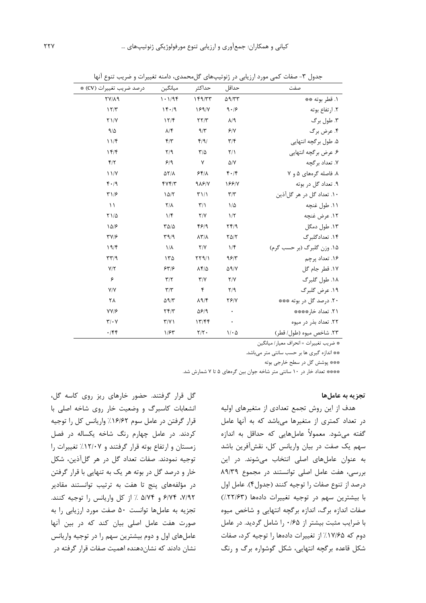| درصد ضريب تغييرات (CV) *     | ميانگين                 | حداكثر                         | حداقل                   | صفت                        |
|------------------------------|-------------------------|--------------------------------|-------------------------|----------------------------|
| $YV/\lambda$ 9               | 1.194                   | 149/TT                         | $\Delta$ 9/٣٣           | ١. قطر بوته **             |
| 17/T                         | 14.4                    | 18918                          | 9.19                    | ٢. ارتفاع بوته             |
| Y1/Y                         | 17/F                    | YY/Y                           | $\lambda$ /9            | ۳. طول برگ                 |
| 9/2                          | $\lambda/\mathfrak{F}$  | 9/5                            | 9/1                     | ۴. عرض برگ                 |
| 11/5                         | $f/\tau$                | f/9/                           | $\mathbf{r}/\mathbf{r}$ | ۵. طول برگچه انتهایی       |
| 157                          | $Y$ <sup>9</sup>        | $\mathbf{r}/\mathbf{r}$        | $Y/\lambda$             | ۶. عرض برگچه انتهایی       |
| $\mathbf{f}/\mathbf{r}$      | 9/9                     | $\mathsf{v}$                   | $\Delta/Y$              | ۷. تعداد برگچه             |
| 11/Y                         | $\Delta Y/\Lambda$      | 55/1                           | 4.14                    | ۸. فاصله گر مهای ۵ و ۷     |
| $f \cdot / 9$                | fYf/T                   | 9A9N                           | 188/Y                   | ۹. تعداد گل در بوته        |
| $\Upsilon$ $/$               | 10/7                    | $T\setminus\setminus\setminus$ | $\mathbf{r}/\mathbf{r}$ | ۱۰. تعداد گل در هر گلآذين  |
| $\lambda$                    | $Y/\lambda$             | $\mathbf{r}/\mathbf{r}$        | $1/\Delta$              | ۱۱. طول غنچه               |
| $Y1/\Delta$                  | $1/\mathfrak{F}$        | Y/Y                            | $1/\tau$                | ١٢. عرض غنچه               |
| 10/5                         | $T\Delta/\Delta$        | 4819                           | Yf/9                    | ۱۳. طول دمگل               |
| $\Upsilon V/F$               | $\Gamma$ 9/9            | $\lambda \Upsilon / \lambda$   | $Y\Delta/Y$             | ۱۴. تعدادگلبرگ             |
| 19/F                         | $\lambda/\lambda$       | Y/Y                            | $1/\mathfrak{f}$        | ۱۵. وزن گلبرگ (بر حسب گرم) |
| $\tau\tau$ /9                | ۱۳۵                     | YY9/1                          | 95/7                    | ۱۶. تعداد پرچم             |
| Y/Y                          | 557                     | $\lambda f/\Delta$             | $\Delta$ 9/Y            | ١٧. قطر جام گل             |
| ۶                            | $\mathbf{r}/\mathbf{r}$ | $\Upsilon/\Upsilon$            | Y/Y                     | ۱۸. طول گلبرگ              |
| Y/Y                          | $\mathbf{r}/\mathbf{r}$ | $\mathbf{r}$                   | Y/9                     | ۱۹. عرض گلبرگ              |
| ٢٨                           | $\Delta$ 9/٣            | $\lambda$ 9/۴                  | YY/Y                    | ۲۰. درصد گل در بوته ***    |
| YY/5                         | Yf/Y                    | $\Delta$ ۶/۹                   |                         | 11. تعداد خار****          |
| $\mathbf{Y}/\cdot\mathbf{V}$ | $\Upsilon/\Upsilon$     | 17/FF                          |                         | ٢٢. تعداد بذر در ميوه      |
| $\cdot$ /۴۴                  | 1/54                    | $\mathbf{Y}/\mathbf{Y}$ .      | $1/\cdot \Delta$        | ٢٣. شاخص ميوه (طول/ قطر)   |

جدول ۳- صفات کمی مورد ارزیابی در ژنوتیپهای گلمحمدی، دامنه تغییرات و ضریب تنوع آنها

\* ضريب تغييرات = انحراف معيار/ ميانگين

\*\* اندازه گیری ها بر حسب سانتی متر میباشد.

\*\*\* پوشش گل در سطح خارجي بوته

\*\*\*\* تعداد خار در ١٠ سانتي متر شاخه جوان بين گرمهاي ۵ تا ۷ شمارش شد.

#### تجزيه به عاملها

هدف از این روش تجمع تعدادی از متغیرهای اولیه در تعداد کمتری از متغیرها میباشد که به آنها عامل گفته میشود. معمولاً عاملهایی که حداقل به اندازه سهم یک صفت در بیان واریانس کل، نقشآفرین باشد به عنوان عاملهای اصلی انتخاب می شوند. در این بررسی، هفت عامل اصلی توانستند در مجموع ۸۹/۳۹ درصد از تنوع صفات را توجيه كنند (جدول۴). عامل اول با بیشترین سهم در توجیه تغییرات دادهها (۲۲/۶۳٪) صفات اندازه برگ، اندازه برگچه انتهایی و شاخص میوه با ضرایب مثبت بیشتر از ۰/۶۵ را شامل گردید. در عامل دوم که ۱۷/۶۵٪ از تغییرات دادهها را توجیه کرد، صفات شکل قاعده برگچه انتهایی، شکل گوشواره برگ و رنگ

گل قرار گرفتند. حضور خارهای ریز روی کاسه گل، انشعابات کاسبرگ و وضعیت خار روی شاخه اصلی با قرار گرفتن در عامل سوم ۱۶/۶۲٪ واریانس کل را توجیه کردند. در عامل چهارم رنگ شاخه یکساله در فصل زمستان وارتفاع بوته قرار گرفتند و ١٢/٠٧٪ تغييرات را توجيه نمودند. صفات تعداد گل در هر گلآذين، شكل خار و درصد گل در بوته هر یک به تنهایی با قرار گرفتن در مؤلفههای پنج تا هفت به ترتیب توانستند مقادیر ۷/۹۲، ۶/۷۴ و ۵/۷۴ / از کل واریانس را توجیه کنند. تجزیه به عاملها توانست ۵۰ صفت مورد ارزیابی را به صورت هفت عامل اصلی بیان کند که در بین آنها عاملهای اول و دوم بیشترین سهم را در توجیه واریانس نشان دادند که نشاندهنده اهمیت صفات قرار گرفته در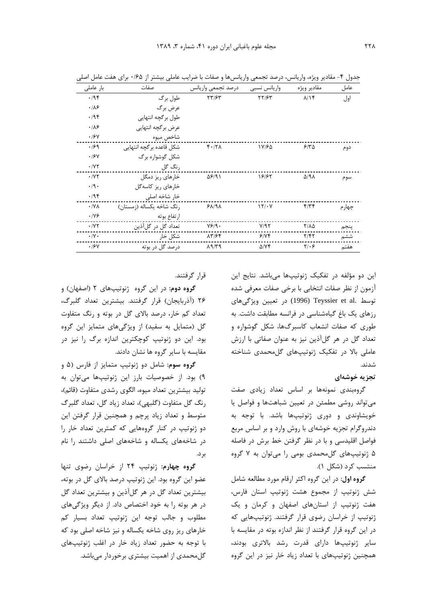| بار عاملی             | صفات                     | درصد تجمعي واريانس      | واريانس نسبى     | مقادير ويژه           | عامل   |
|-----------------------|--------------------------|-------------------------|------------------|-----------------------|--------|
| .195                  | طول برگ                  | $\tau\tau$ /۶۳          | <b>٢٢/۶٣</b>     | $\lambda/\lambda f$   | اول    |
| .18                   | عرض برگ                  |                         |                  |                       |        |
| .795                  | طول برگچه انتهایی        |                         |                  |                       |        |
| .18                   | عرض برگچه انتهایی        |                         |                  |                       |        |
| .18V                  | شاخص ميوه                |                         |                  |                       |        |
| .199                  | شكل قاعده برگچه انتهايي  | $f \cdot / Y \wedge$    | 18/65            | 510                   | دوم    |
| .19Y                  | شکل گوشواره برگ          |                         |                  |                       |        |
| $\cdot$ /YY           | , نگ گل                  |                         |                  |                       |        |
| $\cdot$ /YY           | خارهای ریز دمگل          | 58191                   | 18187            | $\Delta$ /9 $\Lambda$ | سوم    |
| $\cdot$ /9 $\cdot$    | خارهای ریز کاسهگل        |                         |                  |                       |        |
| .795                  | خار شاخه اصلی            |                         |                  |                       |        |
| $\cdot$ / Y $\wedge$  | رنگ شاخه یکساله (زمستان) | $9\lambda$ /9 $\lambda$ | 151.4            | $f/\tau f$            | چهار م |
| $\cdot$ /Y $\epsilon$ | ارتفاع بوته              |                         |                  |                       |        |
| $\cdot$ / Y $\tau$    | تعداد گل در گلآذین       | Y5/9.                   | Y/97             | $Y/\lambda \Delta$    | پنجم   |
| $\cdot/\gamma$ .      | شكل خار                  | 17/64                   | 9/7              | Y/FY                  | ششم    |
| .19Y                  | درصد گل در بوته          | $\lambda$ 9/٣٩          | $\Delta$ / $Y$ ۴ | $Y/\cdot 5$           | هفتم   |

جدول ۴- مقادیر ویژه، واریانس، درصد تجمعی واریانسها و صفات با ضرایب عاملی بیشتر از ۰/۶۵ برای هفت عامل اصلی

این دو مؤلفه در تفکیک ژنوتیپها میباشد. نتایج این آزمون از نظر صفات انتخابي با برخي صفات معرفي شده توسط .Teyssier et al (1996) در تعیین ویژگیهای رزهای یک باغ گیاهشناسی در فرانسه مطابقت داشت. به طوری که صفات انشعاب کاسبرگها، شکل گوشواره و تعداد گل در هر گلآذین نیز به عنوان صفاتی با ارزش عاملی بالا در تفکیک ژنوتیپهای گل محمدی شناخته شدند.

#### تجزیه خوشهای

گروهبندی نمونهها بر اساس تعداد زیادی صفت می تواند روشی مطمئن در تعیین شباهتها و فواصل یا خویشاوندی و دوری ژنوتیپها باشد. با توجه به دندروگرام تجزیه خوشهای با روش وارد و بر اساس مربع فواصل اقلیدسی و با در نظر گرفتن خط برش در فاصله ۵ ژنوتیپهای گلمحمدی بومی را میتوان به ۷ گروه منتسب کرد (شکل ۱).

**گروه اول**: در این گروه اکثر ارقام مورد مطالعه شامل شش ژنوتیپ از مجموع هشت ژنوتیپ استان فارس، هفت ژنوتیپ از استانهای اصفهان و کرمان و یک ژنوتیپ از خراسان رضوی قرار گرفتند. ژنوتیپهایی که در این گروه قرار گرفتند از نظر اندازه بوته در مقایسه با ساير ژنوتيپها داراي قدرت رشد بالاترى بودند، همچنین ژنوتیپهای با تعداد زیاد خار نیز در این گروه

قرار گرفتند.

**گروه دوم**: در این گروه ژنوتیپهای ۲ (اصفهان) و ۲۶ (آذربایجان) قرار گرفتند. بیشترین تعداد گلبرگ، تعداد کم خار، درصد بالای گل در بوته و رنگ متفاوت گل (متمایل به سفید) از ویژگیهای متمایز این گروه بود. این دو ژنوتیپ کوچکترین اندازه برگ را نیز در مقایسه با سایر گروه ها نشان دادند.

**کروه سوم:** شامل دو ژنوتیپ متمایز از فارس (۵ و ٩) بود. از خصوصیات بارز این ژنوتیپها میتوان به توليد بيشترين تعداد ميوه، الگوى رشدى متفاوت (قائم)، رنگ گل متفاوت (گلبهی)، تعداد زياد گل، تعداد گلبرگ متوسط و تعداد زیاد پرچم و همچنین قرار گرفتن این دو ژنوتیپ در کنار گروههایی که کمترین تعداد خار را در شاخههای یکساله و شاخههای اصلی داشتند را نام بر د.

گروه چهارم: ژنوتیپ ۲۴ از خراسان رضوی تنها عضو این گروه بود. این ژنوتیپ درصد بالای گل در بوته، بیشترین تعداد گل در هر گلآذین و بیشترین تعداد گل در هر بوته را به خود اختصاص داد. از دیگر ویژگیهای مطلوب وجالب توجه این ژنوتیپ تعداد بسیار کم خارهای ریز روی شاخه یکساله و نیز شاخه اصلی بود که با توجه به حضور تعداد زياد خار در اغلب ژنوتيپهاى گلمحمدی از اهمیت بیشتری برخوردار میباشد.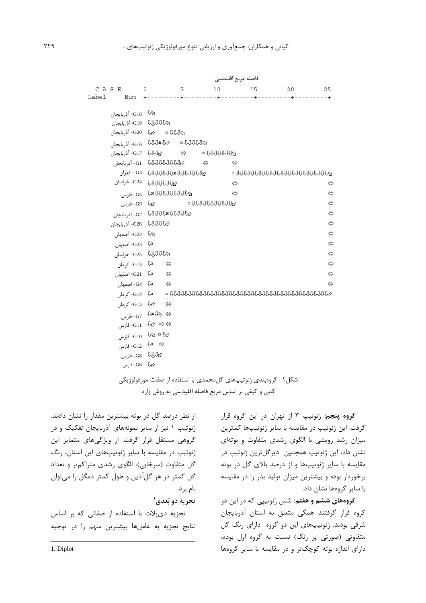|       |                                         |                                                                                                                                                                                                                                                                                                                |   |               | فاصله مربع اقليدسي |                                                                                                                                                                                                                                                                                                                                                                                                                                                                                                                                                                                                          |    |                   |
|-------|-----------------------------------------|----------------------------------------------------------------------------------------------------------------------------------------------------------------------------------------------------------------------------------------------------------------------------------------------------------------|---|---------------|--------------------|----------------------------------------------------------------------------------------------------------------------------------------------------------------------------------------------------------------------------------------------------------------------------------------------------------------------------------------------------------------------------------------------------------------------------------------------------------------------------------------------------------------------------------------------------------------------------------------------------------|----|-------------------|
| Label | CASE<br>Num                             | $\Omega$                                                                                                                                                                                                                                                                                                       | 5 | 10            | 15                 |                                                                                                                                                                                                                                                                                                                                                                                                                                                                                                                                                                                                          | 20 | 25                |
|       | لأ <sup>لل</sup> G18- أذربايجان         |                                                                                                                                                                                                                                                                                                                |   |               |                    |                                                                                                                                                                                                                                                                                                                                                                                                                                                                                                                                                                                                          |    |                   |
|       | G19 VAAAA                               |                                                                                                                                                                                                                                                                                                                |   |               |                    |                                                                                                                                                                                                                                                                                                                                                                                                                                                                                                                                                                                                          |    |                   |
|       | ن س G20 ⊕ G20 آذربایجان G20 − آذربایجان |                                                                                                                                                                                                                                                                                                                |   |               |                    |                                                                                                                                                                                                                                                                                                                                                                                                                                                                                                                                                                                                          |    |                   |
|       | نابايجان G16 JUUx Jr2 = آذربايجان G16-  |                                                                                                                                                                                                                                                                                                                |   |               |                    |                                                                                                                                                                                                                                                                                                                                                                                                                                                                                                                                                                                                          |    |                   |
|       | انربايجان → G17 JJJy2 → مG17 JJJy3      |                                                                                                                                                                                                                                                                                                                |   |               |                    |                                                                                                                                                                                                                                                                                                                                                                                                                                                                                                                                                                                                          |    |                   |
|       | G1 000000000000 - آذربایجان             |                                                                                                                                                                                                                                                                                                                |   | $\Rightarrow$ | ⇔                  |                                                                                                                                                                                                                                                                                                                                                                                                                                                                                                                                                                                                          |    |                   |
|       |                                         |                                                                                                                                                                                                                                                                                                                |   |               |                    |                                                                                                                                                                                                                                                                                                                                                                                                                                                                                                                                                                                                          |    |                   |
|       |                                         | G24 JUUUUW                                                                                                                                                                                                                                                                                                     |   |               | ⇔                  |                                                                                                                                                                                                                                                                                                                                                                                                                                                                                                                                                                                                          |    | ⇔                 |
|       |                                         | $-G5$ $\sqrt{2}$ $\sqrt{2}$ $\sqrt{2}$ $\sqrt{2}$ $\sqrt{2}$ $\sqrt{2}$ $\sqrt{2}$ $\sqrt{2}$ $\sqrt{2}$ $\sqrt{2}$ $\sqrt{2}$ $\sqrt{2}$ $\sqrt{2}$ $\sqrt{2}$ $\sqrt{2}$ $\sqrt{2}$ $\sqrt{2}$ $\sqrt{2}$ $\sqrt{2}$ $\sqrt{2}$ $\sqrt{2}$ $\sqrt{2}$ $\sqrt{2}$ $\sqrt{2}$ $\sqrt{2}$ $\sqrt{2}$ $\sqrt{2}$ |   |               | ⇔                  |                                                                                                                                                                                                                                                                                                                                                                                                                                                                                                                                                                                                          |    | $\Leftrightarrow$ |
|       | G9 JY2- فارس                            |                                                                                                                                                                                                                                                                                                                |   |               |                    |                                                                                                                                                                                                                                                                                                                                                                                                                                                                                                                                                                                                          |    | ⇔                 |
|       | G2 DUUUUx DUUUUY                        |                                                                                                                                                                                                                                                                                                                |   |               |                    |                                                                                                                                                                                                                                                                                                                                                                                                                                                                                                                                                                                                          |    | $\Leftrightarrow$ |
|       | G26 VVVVV                               |                                                                                                                                                                                                                                                                                                                |   |               |                    |                                                                                                                                                                                                                                                                                                                                                                                                                                                                                                                                                                                                          |    | $\Leftrightarrow$ |
|       | G22 - آصفهان                            |                                                                                                                                                                                                                                                                                                                |   |               |                    |                                                                                                                                                                                                                                                                                                                                                                                                                                                                                                                                                                                                          |    | $\Leftrightarrow$ |
|       | تاباً     G23- اصفهان                   |                                                                                                                                                                                                                                                                                                                |   |               |                    |                                                                                                                                                                                                                                                                                                                                                                                                                                                                                                                                                                                                          |    | $\Leftrightarrow$ |
|       |                                         | G25 40                                                                                                                                                                                                                                                                                                         |   |               |                    |                                                                                                                                                                                                                                                                                                                                                                                                                                                                                                                                                                                                          |    | $\Leftrightarrow$ |
|       | ¤ل G13- كرمان                           | $\Leftrightarrow$                                                                                                                                                                                                                                                                                              |   |               |                    |                                                                                                                                                                                                                                                                                                                                                                                                                                                                                                                                                                                                          |    | $\Leftrightarrow$ |
|       |                                         |                                                                                                                                                                                                                                                                                                                |   |               |                    |                                                                                                                                                                                                                                                                                                                                                                                                                                                                                                                                                                                                          |    | $\Leftrightarrow$ |
|       |                                         |                                                                                                                                                                                                                                                                                                                |   |               |                    |                                                                                                                                                                                                                                                                                                                                                                                                                                                                                                                                                                                                          |    | ⇔                 |
|       |                                         |                                                                                                                                                                                                                                                                                                                |   |               |                    | $-1014 \begin{array}{l} \circ \\ \circ \\ \circ \end{array} \begin{array}{r} \circ \\ \circ \\ \circ \end{array} \begin{array}{r} \circ \\ \circ \\ \circ \end{array} \begin{array}{r} \circ \\ \circ \\ \circ \\ \circ \end{array} \begin{array}{r} \circ \\ \circ \\ \circ \\ \circ \end{array} \begin{array}{r} \circ \\ \circ \\ \circ \\ \circ \end{array} \begin{array}{r} \circ \\ \circ \\ \circ \\ \circ \end{array} \begin{array}{r} \circ \\ \circ \\ \circ \\ \circ \end{array} \begin{array}{r} \circ \\ \circ \\ \circ \\ \circ \end{array} \begin{array}{r} \circ \\ \circ \\ \circ \\ \$ |    |                   |
|       | G15 -G15 كرمان                          | —⇔                                                                                                                                                                                                                                                                                                             |   |               |                    |                                                                                                                                                                                                                                                                                                                                                                                                                                                                                                                                                                                                          |    |                   |
|       |                                         | ۞ ۞۞ڰ <sup>\$</sup> ل <sub>G7- فارس</sub>                                                                                                                                                                                                                                                                      |   |               |                    |                                                                                                                                                                                                                                                                                                                                                                                                                                                                                                                                                                                                          |    |                   |
|       |                                         | ⇔ ⇔ A } -G11 - فارس                                                                                                                                                                                                                                                                                            |   |               |                    |                                                                                                                                                                                                                                                                                                                                                                                                                                                                                                                                                                                                          |    |                   |
|       |                                         | ل $\mathbb{G}10$ - فارس $\mathbb{G}10$ - فارس $\mathbb{G}$                                                                                                                                                                                                                                                     |   |               |                    |                                                                                                                                                                                                                                                                                                                                                                                                                                                                                                                                                                                                          |    |                   |
|       |                                         |                                                                                                                                                                                                                                                                                                                |   |               |                    |                                                                                                                                                                                                                                                                                                                                                                                                                                                                                                                                                                                                          |    |                   |
|       | G8 $\sqrt{10^{11}}$ -G8 فارس            |                                                                                                                                                                                                                                                                                                                |   |               |                    |                                                                                                                                                                                                                                                                                                                                                                                                                                                                                                                                                                                                          |    |                   |
|       | G6 JV2- فارس                            |                                                                                                                                                                                                                                                                                                                |   |               |                    |                                                                                                                                                                                                                                                                                                                                                                                                                                                                                                                                                                                                          |    |                   |

شکل ۱- گروهبندی ژنوتیپهای گلِمحمدی با استفاده از صفات مورفولوژیکی کمی و کیفی بر اساس مربع فاصله اقلیدسی به روش وارد

> گروه پنجم: ژنوتیپ ۳ از تهران در این گروه قرار گرفت. این ژنوتیپ در مقایسه با سایر ژنوتیپها کمترین میزان رشد رویشی با الگوی رشدی متفاوت و بوتهای نشان داد، این ژنوتیپ همچنین ِ دیرگلترین ژنوتیپ در مقایسه با سایر ژنوتیپها و از درصد بالای گل در بوته برخوردار بوده و بیشترین میزان تولید بذر را در مقایسه با سایر گروهها نشان داد.

**گروههای ششم و هفتم:** شش ژنوتیپی که در این دو گروه قرار گرفتند همگی متعلق به استان آذربایجان شرقی بودند. ژنوتیپهای این دو گروه دارای رنگ گل متفاوتی (صورتی پر رنگ) نسبت به گروه اول بوده، دارای اندازه بوته کوچکتر و در مقایسه با سایر گروهها

از نظر درصد گل در بوته بیشترین مقدار را نشان دادند. ژنوتیپ ۱ نیز از سایر نمونههای آذربایجان تفکیک و در گروهی مستقل قرار گرفت. از ویژگیهای متمایز این ژنوتیپ در مقایسه با سایر ژنوتیپهای این استان، رنگ گل متفاوت (سرخابی)، الگوی رشدی متراکمتر و تعداد گل کمتر در هر گلآذین و طول کمتر دمگل را میتوان نام برد.

### تجزيه دو بُعدي'

تجزیه دیپلات با استفاده از صفاتی که بر اساس نتايج تجزيه به عاملها بيشترين سهم را در توجيه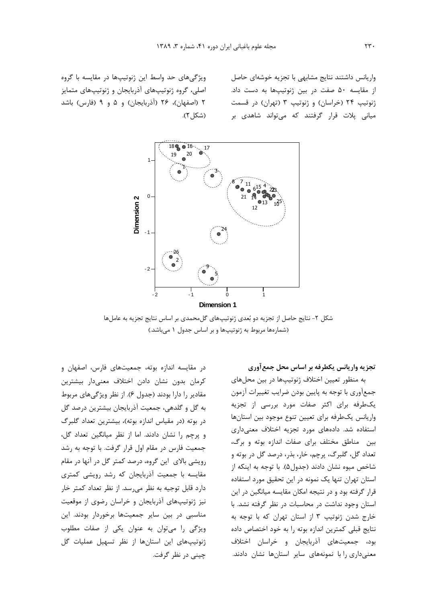واریانس داشتند نتایج مشابهی با تجزیه خوشهای حاصل از مقایسه ۵۰ صفت در بین ژنوتیپها به دست داد. ژنوتیپ ۲۴ (خراسان) و ژنوتیپ ۳ (تهران) در قسمت میانی پلات قرار گرفتند که میتواند شاهدی بر

ویژگیهای حد واسط این ژنوتیپها در مقایسه با گروه اصلی، گروه ژنوتیپهای آذربایجان و ژنوتیپهای متمایز ۲ (اصفهان)، ۲۶ (آذربایجان) و ۵ و ۹ (فارس) باشد (شكل ٢).



شکل ۲- نتایج حاصل از تجزیه دو بُعدی ژنوتیپهای گلءحمدی بر اساس نتایج تجزیه به عاملها (شمارهها مربوط به ژنوتیپها و بر اساس جدول ١ می باشد.)

تجزیه واریانس یکطرفه بر اساس محل جمع آوری

به منظور تعیین اختلاف ژنوتیپها در بین محلهای جمعآوري با توجه به پايين بودن ضرايب تغييرات آزمون یک طرفه برای اکثر صفات مورد بررسی از تجزیه واريانس يكطرفه براى تعيين تنوع موجود بين استانها استفاده شد. دادههای مورد تجزیه اختلاف معنیداری بین مناطق مختلف برای صفات اندازه بوته و برگ، تعداد گل، گلبرگ، پرچم، خار، بذر، درصد گل در بوته و شاخص ميوه نشان دادند (جدول۵). با توجه به اينكه از استان تهران تنها یک نمونه در این تحقیق مورد استفاده قرار گرفته بود و در نتیجه امکان مقایسه میانگین در این استان وجود نداشت در محاسبات در نظر گرفته نشد. با خارج شدن ژنوتیپ ۳ از استان تهران که با توجه به نتايج قبلي كمترين اندازه بوته را به خود اختصاص داده بود، جمعیتهای آذربایجان و خراسان اختلاف معنیداری را با نمونههای سایر استانها نشان دادند.

كرمان بدون نشان دادن اختلاف معنى دار بيشترين مقادیر را دارا بودند (جدول ۶). از نظر ویژگیهای مربوط به گل و گلدهی، جمعیت آذربایجان بیشترین درصد گل در بوته (در مقیاس اندازه بوته)، بیشترین تعداد گلبرگ و پرچم را نشان دادند. اما از نظر میانگین تعداد گل، جمعیت فارس در مقام اول قرار گرفت. با توجه به رشد رویشی بالای این گروه، درصد کمتر گل در آنها در مقام مقایسه با جمعیت آذربایجان که رشد رویشی کمتری دارد قابل توجیه به نظر میرسد. از نظر تعداد کمتر خار نیز ژنوتیپهای آذربایجان و خراسان رضوی از موقعیت مناسبی در بین سایر جمعیتها برخوردار بودند. این ویژگی را می توان به عنوان یکی از صفات مطلوب ژنوتیپهای این استانها از نظر تسهیل عملیات گل چينې در نظر گرفت.

در مقایسه اندازه بوته، جمعیتهای فارس، اصفهان و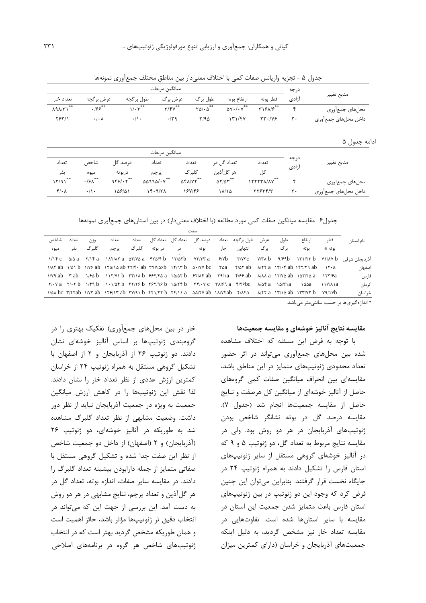|                     | درجه  | ميانگين مربعات                     |                                 |                        |                                        |               |                           |                           |  |
|---------------------|-------|------------------------------------|---------------------------------|------------------------|----------------------------------------|---------------|---------------------------|---------------------------|--|
| منابع تغيير         | آزادى | قطر بوته                           | ارتفاع بوته<br>طول برگ          |                        | عرض برگ                                | طول برگچه     | عرض برگچه                 | تعداد خا,                 |  |
| محلهاي جمعأوري      | ۴     | T15A/5                             | $\Delta V \cdot / \cdot V^{**}$ | $Y\Delta/\cdot \Delta$ | $\mathbf{r}/\mathbf{r}\mathbf{v}^{**}$ | $1/r^{**}$    | $\cdot$ /۶۶ $^{\ast\ast}$ | $\lambda$ 9 $\lambda$ /٣١ |  |
| داخل محلهاى جمعأورى | ٢.    | $\tau\tau \cdot (\gamma \epsilon)$ | 171/FV                          | Y/90                   | .179                                   | $\cdot/\cdot$ | $\cdot/\cdot \wedge$      | YY'                       |  |
|                     |       |                                    |                                 |                        |                                        |               |                           |                           |  |
| ادامه جدول ۵        |       |                                    |                                 |                        |                                        |               |                           |                           |  |
|                     |       |                                    |                                 |                        | ميانگين مربعات                         |               |                           |                           |  |

تعداد گل در

هر گلآذين

 $\Delta Y/\Delta Y^{\dagger}$ 

 $11/10$ 

جدول ۵ - تجزيه واريانس صفات كمي با اختلاف معنىدار بين مناطق مختلف جمع آوري نمونهها

تعداد

گلېرگ

**AFAIVY** 

188148

جدول۶- مقایسه میانگین صفات کمی مورد مطالعه (با اختلاف معنیدار) در بین استانهای جمعآوری نمونهها

|                                                                                                               | صفت             |                                                                                                                                                                                                                                                                                                                                                                                                |     |      |             |  |                                                  |  |                |        |       |       |       |      |
|---------------------------------------------------------------------------------------------------------------|-----------------|------------------------------------------------------------------------------------------------------------------------------------------------------------------------------------------------------------------------------------------------------------------------------------------------------------------------------------------------------------------------------------------------|-----|------|-------------|--|--------------------------------------------------|--|----------------|--------|-------|-------|-------|------|
| نام استا∴                                                                                                     | قطر             | ا, تفاع                                                                                                                                                                                                                                                                                                                                                                                        | طول |      |             |  | عرض طول برگچه تعداد درصدگل تعدادگل تعدادگل تعداد |  |                |        | تعداد | وزن   | تعداد | شاخص |
|                                                                                                               | ىەتە ≉          | ىو تە                                                                                                                                                                                                                                                                                                                                                                                          | ر گ | بر گ | انتھایی خار |  |                                                  |  | بوته در دربوته | گلبر گ | ير چم | گلب گ | يذر   | ميوه |
| آذربایجان شرقی ۱۳۱/۲۳۵ - ۱/۱۴ C ۵/۵۵ - ۱/۱۴۵ - ۱/۱۴۵ - ۲/۱/۵۲۵ - ۲۴۵/۲۵ - ۲/۱/۲۵ ۲/۱/۲۸ - ۱/۱۴۵ - ۱/۱۴۵ ۱/۱۴۵ |                 |                                                                                                                                                                                                                                                                                                                                                                                                |     |      |             |  |                                                  |  |                |        |       |       |       |      |
| اصفهان                                                                                                        |                 |                                                                                                                                                                                                                                                                                                                                                                                                |     |      |             |  |                                                  |  |                |        |       |       |       |      |
| فارس                                                                                                          |                 | $1/Y9$ ab $Y$ ab $1/Sa$ b $1Y/Y1$ b $YY1A$ b $995/5a$ a $1a/ar$ b $97/AF$ ab $Y31a$ $Y/99$ ab $A/Aa$ $17/Ya$ ab $1aY/5a$ $17Y/9a$                                                                                                                                                                                                                                                              |     |      |             |  |                                                  |  |                |        |       |       |       |      |
| کر مان                                                                                                        | $\frac{111}{4}$ | ∖∆∆a                                                                                                                                                                                                                                                                                                                                                                                           |     |      |             |  |                                                  |  |                |        |       |       |       |      |
| خراسان                                                                                                        |                 | $\frac{1}{\Delta}$ bc $\frac{1}{\Gamma}$ $\frac{1}{\Delta}$ $\frac{1}{\Gamma}$ $\frac{1}{\Gamma}$ $\frac{1}{\Gamma}$ $\frac{1}{\Gamma}$ $\frac{1}{\Gamma}$ $\frac{1}{\Gamma}$ $\frac{1}{\Gamma}$ $\frac{1}{\Gamma}$ $\frac{1}{\Gamma}$ $\frac{1}{\Gamma}$ $\frac{1}{\Gamma}$ $\frac{1}{\Gamma}$ $\frac{1}{\Gamma}$ $\frac{1}{\Gamma}$ $\frac{1}{\Gamma}$ $\frac{1}{\Gamma}$ $\frac{1}{\Gamma}$ |     |      |             |  |                                                  |  |                |        |       |       |       |      |
|                                                                                                               |                 |                                                                                                                                                                                                                                                                                                                                                                                                |     |      |             |  |                                                  |  |                |        |       |       |       |      |

\* اندازهگیریها بر حسب سانتے متر مے باشد.

منابع تغيير

محلهاى جمعأورى

داخل محلهاى جمعأورى

#### مقايسه نتايج آناليز خوشهاى و مقايسه جمعيتها

درجه

آزادی

 $\mathbf{\hat{r}}$ 

 $\mathsf{r}$ .

تعداد

گل

ITTTTA/AV

 $YY5YY/Y$ 

با توجه به فرض این مسئله که اختلاف مشاهده شده بین محلهای جمعآوری می تواند در اثر حضور تعداد محدودی ژنوتیپهای متمایز در این مناطق باشد، مقایسهای بین انحراف میانگین صفات کمی گروههای حاصل از آنالیز خوشهای از میانگین کل هرصفت و نتایج حاصل از مقايسه جمعيتها انجام شد (جدول ٧). مقايسه درصد گل در بوته نشانگر شاخص بودن ژنوتیپهای آذربایجان در هر دو روش بود. ولی در مقايسه نتايج مربوط به تعداد گل، دو ژنوتيپ ۵ و ۹ كه در آنالیز خوشهای گروهی مستقل از سایر ژنوتیپهای استان فارس را تشکیل دادند به همراه ژنوتیپ ۲۴ در جایگاه نخست قرار گرفتند. بنابراین می توان این چنین فرض کرد که وجود این دو ژنوتیپ در بین ژنوتیپهای استان فارس باعث متمایز شدن جمعیت این استان در مقایسه با سایر استانها شده است. تفاوتهایی در مقایسه تعداد خار نیز مشخص گردید، به دلیل اینکه جمعیتهای آذربایجان و خراسان (دارای کمترین میزان

خار در بین محلهای جمعآوری) تفکیک بهتری را در گروهبندی ژنوتیپها بر اساس آنالیز خوشهای نشان دادند. دو ژنوتیپ ۲۶ از آذربایجان و ۲ از اصفهان با تشکیل گروهی مستقل به همراه ژنوتیپ ۲۴ از خراسان كمترين ارزش عددى از نظر تعداد خار را نشان دادند. لذا نقش این ژنوتیپها را در کاهش ارزش میانگین جمعیت به ویژه در جمعیت آذربایجان نباید از نظر دور داشت. وضعیت مشابهی از نظر تعداد گلبرگ مشاهده شد به طوریکه در آنالیز خوشهای، دو ژنوتیپ ۲۶ (آذربایجان) و ۲ (اصفهان) از داخل دو جمعیت شاخص از نظر این صفت جدا شده و تشکیل گروهی مستقل با صفاتی متمایز از جمله دارابودن بیشینه تعداد گلبرگ را دادند. در مقايسه ساير صفات، اندازه بوته، تعداد گل در هر گلآذین و تعداد پرچم، نتایج مشابهی در هر دو روش به دست آمد. این بررسی از جهت این که میتواند در انتخاب دقيق تر ژنوتيپها مؤثر باشد، حائز اهميت است و همان طوریکه مشخص گردید بهتر است که در انتخاب ژنوتیپهای شاخص هر گروه در برنامههای اصلاحی

تعداد

بذر

 $15/91$ 

 $f/\cdot \Lambda$ 

شاخص

ميوه

 $\cdot$ /۶ $\wedge$ 

 $\cdot/\cdot$ 

درصد گل

دربوته

 $959/17$ 

108/01

تعداد

پر چم

 $\triangle \triangle$ 99 $\triangle/\cdot$  Y

 $15.9/7A$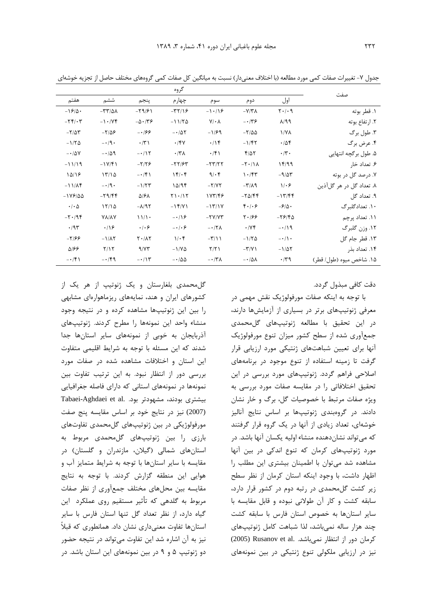|                                             |                           |                              | گروه                 |                       |                                          |                         | صفت                       |
|---------------------------------------------|---------------------------|------------------------------|----------------------|-----------------------|------------------------------------------|-------------------------|---------------------------|
| هفتم                                        | ششم                       | پنجم                         | چهارم                | سوم                   | دوم                                      | اول                     |                           |
| $-19/0$                                     | $-\tau\tau/\Delta\lambda$ | $-\79/51$                    | $-\tau\tau/8$        | $-1.19$               | $-Y/Y$                                   | $Y \cdot / \cdot 9$     | ۱. قطر بوته               |
| $-\mathbf{Y} \mathbf{Y} / \cdot \mathbf{Y}$ | $-1.79$                   | $-\Delta \cdot 75$           | $-11/70$             | $Y/\cdot \Lambda$     | $- \cdot 79$                             | $\lambda$ /99           | ۲. ارتفاع بوته            |
| $-\tau/\Delta\tau$                          | $-\frac{1}{2}$            | $-188$                       | $-107$               | $-1/99$               | $-\frac{1}{2}$                           | $\frac{1}{\sqrt{2}}$    | ۳. طول برگ                |
| $-1/7\Delta$                                | $-\cdot$ /9.              | $\cdot$ /٣١                  | .791                 | .19                   | $-1/\mathfrak{f}\mathfrak{r}$            | .708                    | ۴. عرض برگ                |
| $-10V$                                      | $-109$                    | $-115$                       | $\cdot$ /۳ $\Lambda$ | $\cdot$ /۴۱           | $f/\Delta Y$                             | $\cdot/\tau$ .          | ۵. طول برگچه انتهایی      |
| $-11/19$                                    | $-1V/f1$                  | $-\frac{1}{2}\frac{1}{2}$    | $-77/97$             | $-YY/YY$              | $-\mathsf{Y}\cdot/\mathsf{Y}\wedge$      | ۱۴۱۹۹                   | ۶. تعداد خار              |
| 10/18                                       | 17/10                     | $-151$                       | 15.6                 | $9/\cdot 5$           | 1.75                                     | $-9/25$                 | ۷. درصد گل در بوته        |
| $-11/\lambda f$                             | $-\cdot$ /9.              | $-1/77$                      | 10/9f                | $-Y/YY$               | $-\tau/\lambda$ 9                        | $1/\cdot 5$             | ۸. تعداد گل در هر گل آذین |
| $-1V9/00$                                   | $-79/99$                  | $\Delta$ /۶ $\Lambda$        | Y1.117               | 187/48                | $-\mathbf{Y}\Delta/\mathbf{F}\mathbf{F}$ | $-17/FF$                | ۹. تعداد گل               |
| $\cdot$ / $\cdot$ $\Delta$                  | 17/10                     | $-\lambda$ /95               | $-15/1$              | $-15/1Y$              | $f \cdot   \cdot \epsilon$               | $-\mathcal{S}/\Delta$ . | ۱۰. تعدادگلبرگ            |
| $-\mathbf{Y} \cdot \mathbf{9}$              | <b>YA/AY</b>              | 11/1                         | $-\cdot/9$           | $-YV/YY$              | 5.199                                    | $-79/80$                | ۱۱. تعداد پرچم            |
| .795                                        | .19                       | $\cdot$ / $\cdot$ $\epsilon$ | $-\cdot$ / $\cdot$ 6 | $- \cdot 7\lambda$    | $\cdot$ / $\vee$ $\check{\tau}$          | $-119$                  | ۱۲. وزن گلبرگ             |
| $-7/99$                                     | $-1/\lambda Y$            | $Y \cdot / \Lambda Y$        | $1/\cdot$ ۴          | $-\tau/\lambda$       | $-1/7\Delta$                             | $-\cdot/ \cdot$         | ۱۳. قطر جام گل            |
| 5/66                                        | Y/Y                       | 9/77                         | $-1/\gamma \Delta$   | Y/Y                   | $-\Upsilon/\Upsilon$                     | $-1/\Delta Y$           | ۱۴. تعداد بذر             |
| $- \cdot / \mathfrak{F}$                    | $-14$                     | $-115$                       | $-100$               | $-\cdot$ /۳ $\Lambda$ | $-\cdot/\Delta\lambda$                   | $\cdot$ /۳۹             | ۱۵. شاخص میوه (طول/ قطر)  |

جدول ۷– تغییرات صفات کمی مورد مطالعه (با اختلاف معنیدار) نسبت به میانگین کل صفات کمی گروههای مختلف حاصل از تجزیه خوشهای

دقت كافي مېذول گړدد.

با توجه به اینکه صفات مورفولوژیک نقش مهمی در معرفی ژنوتیپهای برتر در بسیاری از آزمایشها دارند، در این تحقیق با مطالعه ژنوتیپهای گلمحمدی جمع آوری شده از سطح کشور میزان تنوع مورفولوژیک آنها برای تعیین شباهتهای ژنتیکی مورد ارزیابی قرار گرفت تا زمینه استفاده از تنوع موجود در برنامههای اصلاحی فراهم گردد. ژنوتیپهای مورد بررسی در این تحقیق اختلافاتی را در مقایسه صفات مورد بررسی به ویژه صفات مرتبط با خصوصیات گل، برگ و خار نشان دادند. در گروهبندی ژنوتیپها بر اساس نتایج آنالیز خوشهای، تعداد زیادی از آنها در یک گروه قرار گرفتند که میتواند نشاندهنده منشاء اولیه یکسان آنها باشد. در مورد ژنوتیپهای کرمان که تنوع اندکی در بین آنها مشاهده شد می توان با اطمینان بیشتری این مطلب را اظهار داشت، با وجود اینکه استان کرمان از نظر سطح زیر کشت گلمحمدی در رتبه دوم در کشور قرار دارد، سابقه کشت و کار آن طولانی نبوده و قابل مقایسه با سایر استانها به خصوص استان فارس با سابقه کشت چند هزار ساله نمى باشد، لذا شباهت كامل ژنوتيپهاى كرمان دور از انتظار نمى باشد. .(2005) Rusanov et al نیز در ارزیابی ملکولی تنوع ژنتیکی در بین نمونههای

گل محمدی بلغارستان و یک ژنوتیپ از هر یک از کشورهای ایران و هند، نمایههای ریزماهوارهای مشابهی را بین این ژنوتیپها مشاهده کرده و در نتیجه وجود منشاء واحد این نمونهها را مطرح کردند. ژنوتیپهای آذربایجان به خوبی از نمونههای سایر استانها جدا شدند که این مسئله با توجه به شرایط اقلیمی متفاوت این استان و اختلافات مشاهده شده در صفات مورد بررسی دور از انتظار نبود. به این ترتیب تفاوت بین نمونهها در نمونههای استانی که دارای فاصله جغرافیایی Tabaei-Aghdaei et al. بيشترى بود. (2007) نیز در نتایج خود بر اساس مقایسه پنج صفت مورفولوژیکی در بین ژنوتیپهای گلمحمدی تفاوتهای بارزی را بین ژنوتیپهای گلمحمدی مربوط به استان های شمالی (گیلان، مازندران و گلستان) در مقایسه با سایر استانها با توجه به شرایط متمایز آب و هوایی این منطقه گزارش کردند. با توجه به نتایج مقایسه بین محلهای مختلف جمعآوری از نظر صفات مربوط به گلدهی که تأثیر مستقیم روی عملکرد این گیاه دارد، از نظر تعداد گل تنها استان فارس با سایر استانها تفاوت معنیداری نشان داد. همانطوری که قبلاً نيز به آن اشاره شد اين تفاوت مي تواند در نتيجه حضور دو ژنوتیپ ۵ و ۹ در بین نمونههای این استان باشد. در